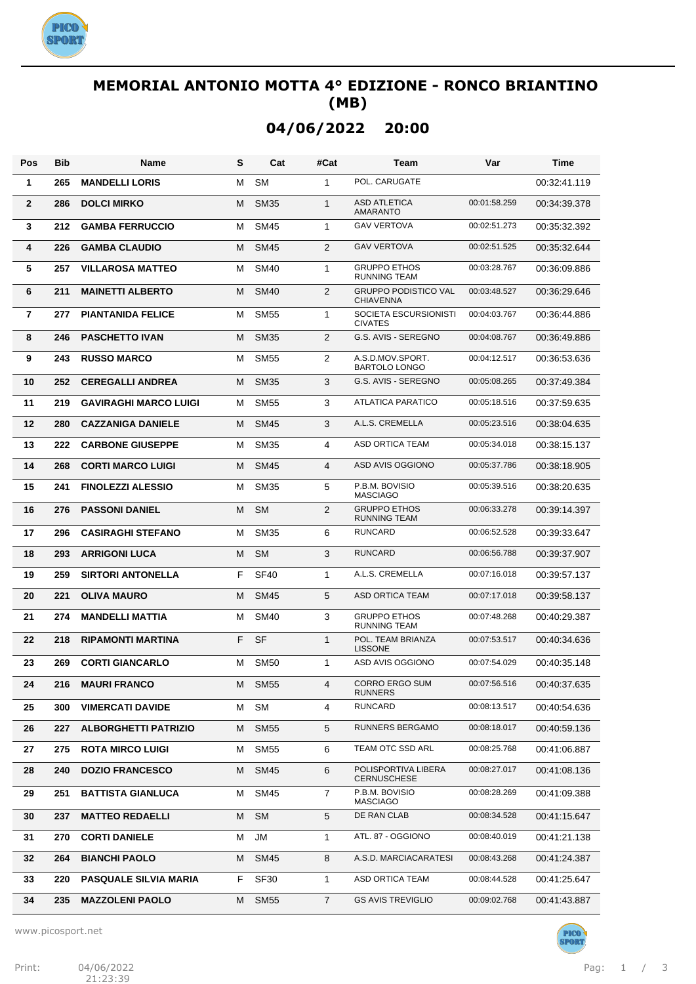

### **MEMORIAL ANTONIO MOTTA 4° EDIZIONE - RONCO BRIANTINO (MB)**

**04/06/2022 20:00**

| Pos               | <b>Bib</b> | <b>Name</b>                  | S | Cat              | #Cat           | Team                                            | Var          | <b>Time</b>  |
|-------------------|------------|------------------------------|---|------------------|----------------|-------------------------------------------------|--------------|--------------|
| 1                 | 265        | <b>MANDELLI LORIS</b>        | м | <b>SM</b>        | 1              | POL. CARUGATE                                   |              | 00:32:41.119 |
| $\mathbf{2}$      | 286        | <b>DOLCI MIRKO</b>           | M | <b>SM35</b>      | $\mathbf{1}$   | <b>ASD ATLETICA</b><br><b>AMARANTO</b>          | 00:01:58.259 | 00:34:39.378 |
| 3                 | 212        | <b>GAMBA FERRUCCIO</b>       | М | <b>SM45</b>      | 1              | <b>GAV VERTOVA</b>                              | 00:02:51.273 | 00:35:32.392 |
| 4                 | 226        | <b>GAMBA CLAUDIO</b>         | м | <b>SM45</b>      | $\overline{2}$ | <b>GAV VERTOVA</b>                              | 00:02:51.525 | 00:35:32.644 |
| 5                 | 257        | <b>VILLAROSA MATTEO</b>      | м | <b>SM40</b>      | 1              | <b>GRUPPO ETHOS</b><br><b>RUNNING TEAM</b>      | 00:03:28.767 | 00:36:09.886 |
| 6                 | 211        | <b>MAINETTI ALBERTO</b>      | м | <b>SM40</b>      | 2              | <b>GRUPPO PODISTICO VAL</b><br><b>CHIAVENNA</b> | 00:03:48.527 | 00:36:29.646 |
| $\overline{7}$    | 277        | <b>PIANTANIDA FELICE</b>     | м | <b>SM55</b>      | 1              | SOCIETA ESCURSIONISTI<br><b>CIVATES</b>         | 00:04:03.767 | 00:36:44.886 |
| 8                 | 246        | <b>PASCHETTO IVAN</b>        | M | <b>SM35</b>      | $\overline{2}$ | G.S. AVIS - SEREGNO                             | 00:04:08.767 | 00:36:49.886 |
| 9                 | 243        | <b>RUSSO MARCO</b>           | М | <b>SM55</b>      | $\overline{2}$ | A.S.D.MOV.SPORT.<br><b>BARTOLO LONGO</b>        | 00:04:12.517 | 00:36:53.636 |
| 10                | 252        | <b>CEREGALLI ANDREA</b>      | M | <b>SM35</b>      | 3              | G.S. AVIS - SEREGNO                             | 00:05:08.265 | 00:37:49.384 |
| 11                | 219        | <b>GAVIRAGHI MARCO LUIGI</b> | M | <b>SM55</b>      | 3              | <b>ATLATICA PARATICO</b>                        | 00:05:18.516 | 00:37:59.635 |
| $12 \overline{ }$ | 280        | <b>CAZZANIGA DANIELE</b>     | M | <b>SM45</b>      | 3              | A.L.S. CREMELLA                                 | 00:05:23.516 | 00:38:04.635 |
| 13                | 222        | <b>CARBONE GIUSEPPE</b>      | M | <b>SM35</b>      | 4              | ASD ORTICA TEAM                                 | 00:05:34.018 | 00:38:15.137 |
| 14                | 268        | <b>CORTI MARCO LUIGI</b>     | M | <b>SM45</b>      | $\overline{4}$ | ASD AVIS OGGIONO                                | 00:05:37.786 | 00:38:18.905 |
| 15                | 241        | <b>FINOLEZZI ALESSIO</b>     | M | <b>SM35</b>      | 5              | P.B.M. BOVISIO<br><b>MASCIAGO</b>               | 00:05:39.516 | 00:38:20.635 |
| 16                | 276        | <b>PASSONI DANIEL</b>        | M | <b>SM</b>        | $\overline{2}$ | <b>GRUPPO ETHOS</b><br><b>RUNNING TEAM</b>      | 00:06:33.278 | 00:39:14.397 |
| 17                | 296        | <b>CASIRAGHI STEFANO</b>     | М | <b>SM35</b>      | 6              | <b>RUNCARD</b>                                  | 00:06:52.528 | 00:39:33.647 |
| 18                | 293        | <b>ARRIGONI LUCA</b>         | M | <b>SM</b>        | 3              | <b>RUNCARD</b>                                  | 00:06:56.788 | 00:39:37.907 |
| 19                | 259        | <b>SIRTORI ANTONELLA</b>     | F | <b>SF40</b>      | $\mathbf{1}$   | A.L.S. CREMELLA                                 | 00:07:16.018 | 00:39:57.137 |
| 20                | 221        | <b>OLIVA MAURO</b>           | м | <b>SM45</b>      | 5              | <b>ASD ORTICA TEAM</b>                          | 00:07:17.018 | 00:39:58.137 |
| 21                | 274        | <b>MANDELLI MATTIA</b>       | М | <b>SM40</b>      | 3              | <b>GRUPPO ETHOS</b><br><b>RUNNING TEAM</b>      | 00:07:48.268 | 00:40:29.387 |
| 22                | 218        | <b>RIPAMONTI MARTINA</b>     | F | <b>SF</b>        | $\mathbf{1}$   | POL. TEAM BRIANZA<br><b>LISSONE</b>             | 00:07:53.517 | 00:40:34.636 |
| 23                | 269        | <b>CORTI GIANCARLO</b>       | м | <b>SM50</b>      | 1              | ASD AVIS OGGIONO                                | 00:07:54.029 | 00:40:35.148 |
| 24                | 216        | <b>MAURI FRANCO</b>          | M | SM <sub>55</sub> | 4              | CORRO ERGO SUM<br><b>RUNNERS</b>                | 00:07:56.516 | 00:40:37.635 |
| 25                | 300        | <b>VIMERCATI DAVIDE</b>      | м | <b>SM</b>        | 4              | <b>RUNCARD</b>                                  | 00:08:13.517 | 00:40:54.636 |
| 26                | 227        | <b>ALBORGHETTI PATRIZIO</b>  | м | <b>SM55</b>      | 5              | RUNNERS BERGAMO                                 | 00:08:18.017 | 00:40:59.136 |
| 27                | 275        | <b>ROTA MIRCO LUIGI</b>      | м | <b>SM55</b>      | 6              | TEAM OTC SSD ARL                                | 00:08:25.768 | 00:41:06.887 |
| 28                | 240        | <b>DOZIO FRANCESCO</b>       | м | <b>SM45</b>      | 6              | POLISPORTIVA LIBERA<br><b>CERNUSCHESE</b>       | 00:08:27.017 | 00:41:08.136 |
| 29                | 251        | <b>BATTISTA GIANLUCA</b>     | м | <b>SM45</b>      | $\overline{7}$ | P.B.M. BOVISIO<br><b>MASCIAGO</b>               | 00:08:28.269 | 00:41:09.388 |
| 30                | 237        | <b>MATTEO REDAELLI</b>       | м | <b>SM</b>        | 5              | DE RAN CLAB                                     | 00:08:34.528 | 00:41:15.647 |
| 31                | 270        | <b>CORTI DANIELE</b>         | м | JM               | 1              | ATL. 87 - OGGIONO                               | 00:08:40.019 | 00:41:21.138 |
| 32                | 264        | <b>BIANCHI PAOLO</b>         | м | <b>SM45</b>      | 8              | A.S.D. MARCIACARATESI                           | 00:08:43.268 | 00:41:24.387 |
| 33                | 220        | <b>PASQUALE SILVIA MARIA</b> | F | <b>SF30</b>      | $\mathbf{1}$   | ASD ORTICA TEAM                                 | 00:08:44.528 | 00:41:25.647 |
| 34                | 235        | <b>MAZZOLENI PAOLO</b>       | м | <b>SM55</b>      | $\overline{7}$ | <b>GS AVIS TREVIGLIO</b>                        | 00:09:02.768 | 00:41:43.887 |

www.picosport.net

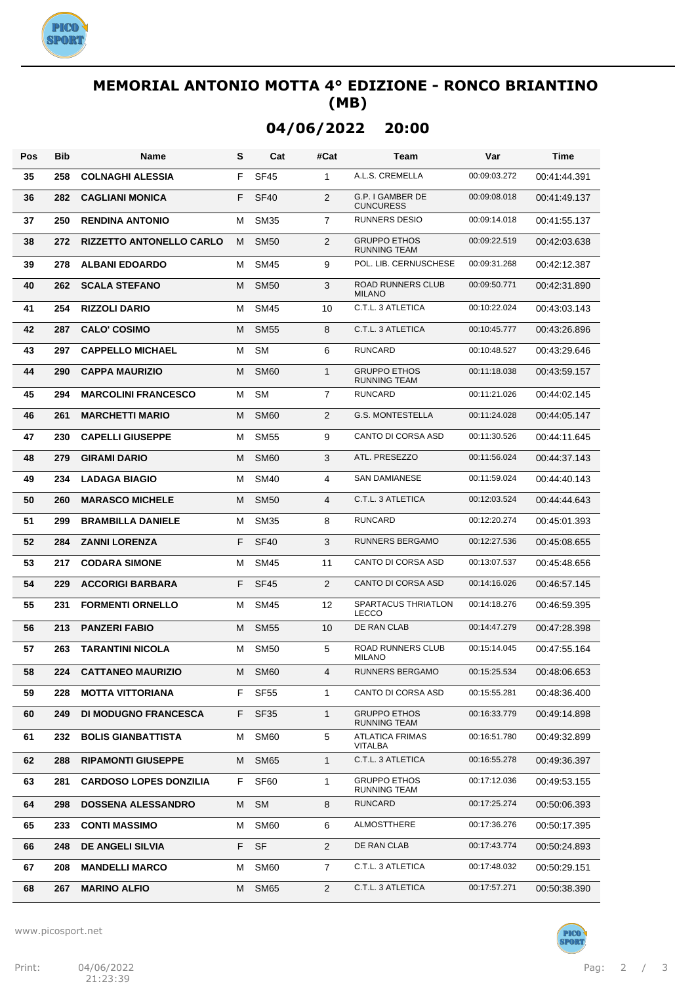

### **MEMORIAL ANTONIO MOTTA 4° EDIZIONE - RONCO BRIANTINO (MB)**

# **04/06/2022 20:00**

| Pos | <b>Bib</b> | Name                            | s  | Cat              | #Cat           | Team                                       | Var          | <b>Time</b>  |
|-----|------------|---------------------------------|----|------------------|----------------|--------------------------------------------|--------------|--------------|
| 35  | 258        | <b>COLNAGHI ALESSIA</b>         | F  | <b>SF45</b>      | $\mathbf{1}$   | A.L.S. CREMELLA                            | 00:09:03.272 | 00:41:44.391 |
| 36  | 282        | <b>CAGLIANI MONICA</b>          | F  | <b>SF40</b>      | $\overline{2}$ | G.P. I GAMBER DE<br><b>CUNCURESS</b>       | 00:09:08.018 | 00:41:49.137 |
| 37  | 250        | <b>RENDINA ANTONIO</b>          | м  | <b>SM35</b>      | $\overline{7}$ | <b>RUNNERS DESIO</b>                       | 00:09:14.018 | 00:41:55.137 |
| 38  | 272        | <b>RIZZETTO ANTONELLO CARLO</b> | м  | <b>SM50</b>      | 2              | <b>GRUPPO ETHOS</b><br><b>RUNNING TEAM</b> | 00:09:22.519 | 00:42:03.638 |
| 39  | 278        | <b>ALBANI EDOARDO</b>           | м  | SM45             | 9              | POL. LIB. CERNUSCHESE                      | 00:09:31.268 | 00:42:12.387 |
| 40  | 262        | <b>SCALA STEFANO</b>            | м  | <b>SM50</b>      | 3              | <b>ROAD RUNNERS CLUB</b><br><b>MILANO</b>  | 00:09:50.771 | 00:42:31.890 |
| 41  | 254        | <b>RIZZOLI DARIO</b>            | м  | <b>SM45</b>      | 10             | C.T.L. 3 ATLETICA                          | 00:10:22.024 | 00:43:03.143 |
| 42  | 287        | <b>CALO' COSIMO</b>             | м  | <b>SM55</b>      | 8              | C.T.L. 3 ATLETICA                          | 00:10:45.777 | 00:43:26.896 |
| 43  | 297        | <b>CAPPELLO MICHAEL</b>         | м  | SM               | 6              | <b>RUNCARD</b>                             | 00:10:48.527 | 00:43:29.646 |
| 44  | 290        | <b>CAPPA MAURIZIO</b>           | м  | <b>SM60</b>      | $\mathbf{1}$   | <b>GRUPPO ETHOS</b><br><b>RUNNING TEAM</b> | 00:11:18.038 | 00:43:59.157 |
| 45  | 294        | <b>MARCOLINI FRANCESCO</b>      | м  | <b>SM</b>        | $\overline{7}$ | <b>RUNCARD</b>                             | 00:11:21.026 | 00:44:02.145 |
| 46  | 261        | <b>MARCHETTI MARIO</b>          | M  | <b>SM60</b>      | 2              | G.S. MONTESTELLA                           | 00:11:24.028 | 00:44:05.147 |
| 47  | 230        | <b>CAPELLI GIUSEPPE</b>         | м  | <b>SM55</b>      | 9              | CANTO DI CORSA ASD                         | 00:11:30.526 | 00:44:11.645 |
| 48  | 279        | <b>GIRAMI DARIO</b>             | м  | <b>SM60</b>      | 3              | ATL. PRESEZZO                              | 00:11:56.024 | 00:44:37.143 |
| 49  | 234        | <b>LADAGA BIAGIO</b>            | м  | <b>SM40</b>      | 4              | <b>SAN DAMIANESE</b>                       | 00:11:59.024 | 00:44:40.143 |
| 50  | 260        | <b>MARASCO MICHELE</b>          | M  | <b>SM50</b>      | 4              | C.T.L. 3 ATLETICA                          | 00:12:03.524 | 00:44:44.643 |
| 51  | 299        | <b>BRAMBILLA DANIELE</b>        | м  | <b>SM35</b>      | 8              | <b>RUNCARD</b>                             | 00:12:20.274 | 00:45:01.393 |
| 52  | 284        | <b>ZANNI LORENZA</b>            | F  | <b>SF40</b>      | 3              | RUNNERS BERGAMO                            | 00:12:27.536 | 00:45:08.655 |
| 53  | 217        | <b>CODARA SIMONE</b>            | м  | <b>SM45</b>      | 11             | CANTO DI CORSA ASD                         | 00:13:07.537 | 00:45:48.656 |
| 54  | 229        | <b>ACCORIGI BARBARA</b>         | F  | <b>SF45</b>      | 2              | CANTO DI CORSA ASD                         | 00:14:16.026 | 00:46:57.145 |
| 55  | 231        | <b>FORMENTI ORNELLO</b>         | м  | <b>SM45</b>      | 12             | SPARTACUS THRIATLON<br><b>LECCO</b>        | 00:14:18.276 | 00:46:59.395 |
| 56  | 213        | <b>PANZERI FABIO</b>            | M  | <b>SM55</b>      | 10             | DE RAN CLAB                                | 00:14:47.279 | 00:47:28.398 |
| 57  | 263        | <b>TARANTINI NICOLA</b>         | м  | <b>SM50</b>      | 5              | ROAD RUNNERS CLUB<br><b>MILANO</b>         | 00:15:14.045 | 00:47:55.164 |
| 58  | 224        | <b>CATTANEO MAURIZIO</b>        | M  | SM <sub>60</sub> | 4              | RUNNERS BERGAMO                            | 00:15:25.534 | 00:48:06.653 |
| 59  | 228        | <b>MOTTA VITTORIANA</b>         | F  | SF <sub>55</sub> | $\mathbf{1}$   | CANTO DI CORSA ASD                         | 00:15:55.281 | 00:48:36.400 |
| 60  | 249        | <b>DI MODUGNO FRANCESCA</b>     | F. | SF <sub>35</sub> | $\mathbf{1}$   | <b>GRUPPO ETHOS</b><br>RUNNING TEAM        | 00:16:33.779 | 00:49:14.898 |
| 61  | 232        | <b>BOLIS GIANBATTISTA</b>       | м  | <b>SM60</b>      | 5              | <b>ATLATICA FRIMAS</b><br>VITALBA          | 00:16:51.780 | 00:49:32.899 |
| 62  | 288        | <b>RIPAMONTI GIUSEPPE</b>       | М  | <b>SM65</b>      | $\mathbf{1}$   | C.T.L. 3 ATLETICA                          | 00:16:55.278 | 00:49:36.397 |
| 63  | 281        | <b>CARDOSO LOPES DONZILIA</b>   | F. | SF <sub>60</sub> | $\mathbf{1}$   | <b>GRUPPO ETHOS</b><br>RUNNING TEAM        | 00:17:12.036 | 00:49:53.155 |
| 64  | 298        | <b>DOSSENA ALESSANDRO</b>       | м  | <b>SM</b>        | 8              | RUNCARD                                    | 00:17:25.274 | 00:50:06.393 |
| 65  | 233        | <b>CONTI MASSIMO</b>            | м  | SM60             | 6              | ALMOSTTHERE                                | 00:17:36.276 | 00:50:17.395 |
| 66  | 248        | DE ANGELI SILVIA                | F  | SF               | $\overline{2}$ | DE RAN CLAB                                | 00:17:43.774 | 00:50:24.893 |
| 67  | 208        | <b>MANDELLI MARCO</b>           | м  | SM60             | 7              | C.T.L. 3 ATLETICA                          | 00:17:48.032 | 00:50:29.151 |
| 68  | 267        | <b>MARINO ALFIO</b>             | М  | SM <sub>65</sub> | $\overline{2}$ | C.T.L. 3 ATLETICA                          | 00:17:57.271 | 00:50:38.390 |

www.picosport.net